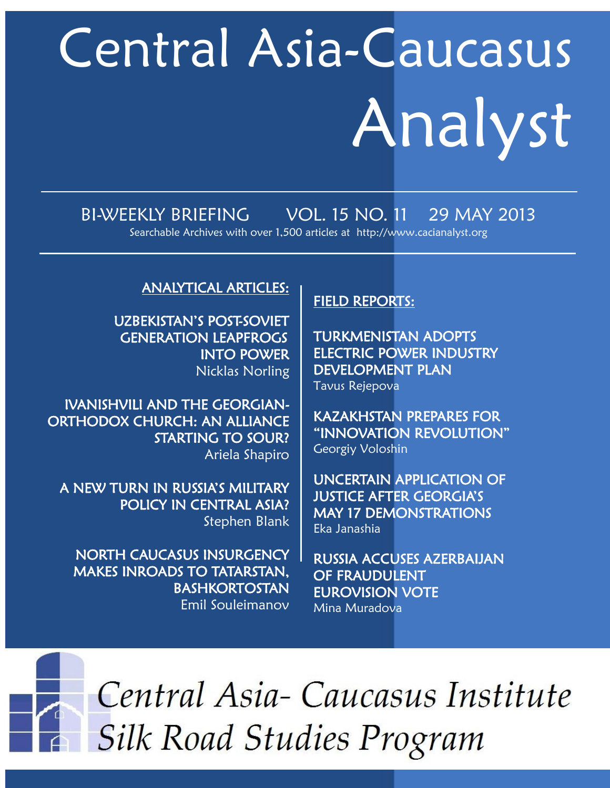# Central Asia-Caucasus Analyst

### BI-WEEKLY BRIEFING VOL. 15 NO. 11 29 MAY 2013

Searchable Archives with over 1,500 articles at http://www.cacianalyst.org

#### ANALYTICAL ARTICLES:

UZBEKISTAN'S POST-SOVIET GENERATION LEAPFROGS INTO POWER Nicklas Norling

IVANISHVILI AND THE GEORGIAN-ORTHODOX CHURCH: AN ALLIANCE STARTING TO SOUR? Ariela Shapiro

A NEW TURN IN RUSSIA'S MILITARY POLICY IN CENTRAL ASIA? Stephen Blank

NORTH CAUCASUS INSURGENCY MAKES INROADS TO TATARSTAN, BASHKORTOSTAN Emil Souleimanov

#### FIELD REPORTS:

TURKMENISTAN ADOPTS ELECTRIC POWER INDUSTRY DEVELOPMENT PLAN Tavus Rejepova

KAZAKHSTAN PREPARES FOR "INNOVATION REVOLUTION" Georgiy Voloshin

UNCERTAIN APPLICATION OF JUSTICE AFTER GEORGIA'S MAY 17 DEMONSTRATIONS Eka Janashia

RUSSIA ACCUSES AZERBAIJAN OF FRAUDULENT EUROVISION VOTE Mina Muradova

Central Asia-Caucasus Institute **Silk Road Studies Program**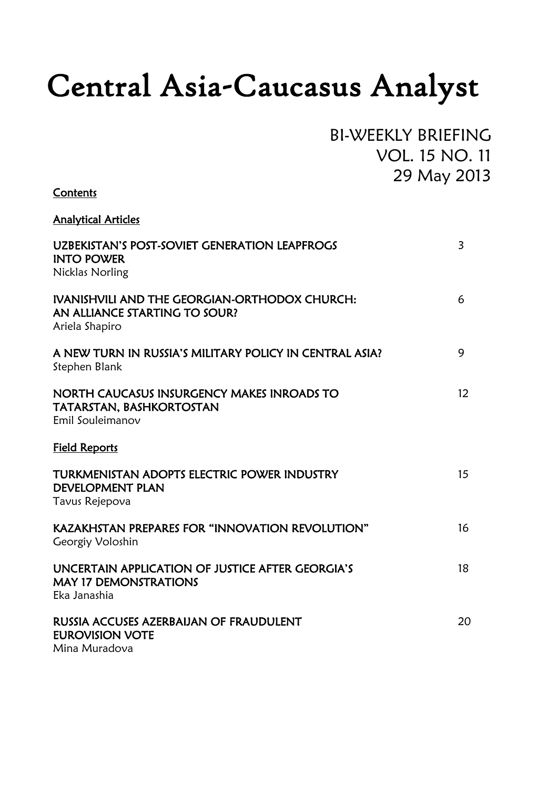## Central Asia-Caucasus Analyst

BI-WEEKLY BRIEFING VOL. 15 NO. 11 29 May 2013

**Contents** 

Analytical Articles

| UZBEKISTAN'S POST-SOVIET GENERATION LEAPFROGS<br><b>INTO POWER</b><br><b>Nicklas Norling</b>            | 3                 |
|---------------------------------------------------------------------------------------------------------|-------------------|
| <b>IVANISHVILI AND THE GEORGIAN-ORTHODOX CHURCH:</b><br>AN ALLIANCE STARTING TO SOUR?<br>Ariela Shapiro | 6                 |
| A NEW TURN IN RUSSIA'S MILITARY POLICY IN CENTRAL ASIA?<br>Stephen Blank                                | 9                 |
| NORTH CAUCASUS INSURGENCY MAKES INROADS TO<br>TATARSTAN, BASHKORTOSTAN<br>Emil Souleimanov              | $12 \overline{ }$ |
| <b>Field Reports</b>                                                                                    |                   |
| TURKMENISTAN ADOPTS ELECTRIC POWER INDUSTRY<br><b>DEVELOPMENT PLAN</b><br>Tavus Rejepova                | 15                |
| <b>KAZAKHSTAN PREPARES FOR "INNOVATION REVOLUTION"</b><br>Georgiy Voloshin                              | 16                |
| UNCERTAIN APPLICATION OF JUSTICE AFTER GEORGIA'S<br><b>MAY 17 DEMONSTRATIONS</b><br>Eka Janashia        | 18                |
| <b>RUSSIA ACCUSES AZERBAIJAN OF FRAUDULENT</b><br><b>EUROVISION VOTE</b><br>Mina Muradova               | 20                |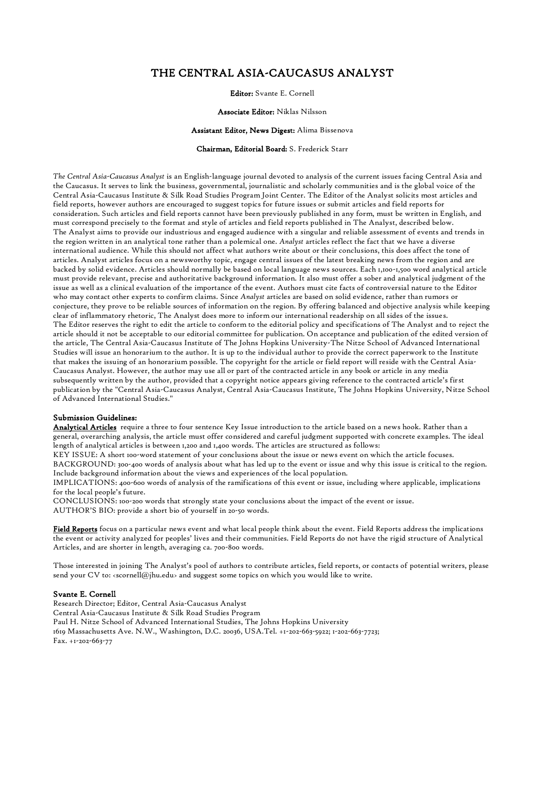#### THE CENTRAL ASIA-CAUCASUS ANALYST

Editor: Svante E. Cornell

#### Associate Editor: Niklas Nilsson

Assistant Editor, News Digest: Alima Bissenova

Chairman, Editorial Board: S. Frederick Starr

*The Central Asia-Caucasus Analyst* is an English-language journal devoted to analysis of the current issues facing Central Asia and the Caucasus. It serves to link the business, governmental, journalistic and scholarly communities and is the global voice of the Central Asia-Caucasus Institute & Silk Road Studies Program Joint Center. The Editor of the Analyst solicits most articles and field reports, however authors are encouraged to suggest topics for future issues or submit articles and field reports for consideration. Such articles and field reports cannot have been previously published in any form, must be written in English, and must correspond precisely to the format and style of articles and field reports published in The Analyst, described below. The Analyst aims to provide our industrious and engaged audience with a singular and reliable assessment of events and trends in the region written in an analytical tone rather than a polemical one. *Analyst* articles reflect the fact that we have a diverse international audience. While this should not affect what authors write about or their conclusions, this does affect the tone of articles. Analyst articles focus on a newsworthy topic, engage central issues of the latest breaking news from the region and are backed by solid evidence. Articles should normally be based on local language news sources. Each 1,100-1,500 word analytical article must provide relevant, precise and authoritative background information. It also must offer a sober and analytical judgment of the issue as well as a clinical evaluation of the importance of the event. Authors must cite facts of controversial nature to the Editor who may contact other experts to confirm claims. Since *Analyst* articles are based on solid evidence, rather than rumors or conjecture, they prove to be reliable sources of information on the region. By offering balanced and objective analysis while keeping clear of inflammatory rhetoric, The Analyst does more to inform our international readership on all sides of the issues. The Editor reserves the right to edit the article to conform to the editorial policy and specifications of The Analyst and to reject the article should it not be acceptable to our editorial committee for publication. On acceptance and publication of the edited version of the article, The Central Asia-Caucasus Institute of The Johns Hopkins University-The Nitze School of Advanced International Studies will issue an honorarium to the author. It is up to the individual author to provide the correct paperwork to the Institute that makes the issuing of an honorarium possible. The copyright for the article or field report will reside with the Central Asia-Caucasus Analyst. However, the author may use all or part of the contracted article in any book or article in any media subsequently written by the author, provided that a copyright notice appears giving reference to the contracted article's first publication by the "Central Asia-Caucasus Analyst, Central Asia-Caucasus Institute, The Johns Hopkins University, Nitze School of Advanced International Studies."

#### Submission Guidelines:

Analytical Articles require a three to four sentence Key Issue introduction to the article based on a news hook. Rather than a general, overarching analysis, the article must offer considered and careful judgment supported with concrete examples. The ideal length of analytical articles is between 1,200 and 1,400 words. The articles are structured as follows:

KEY ISSUE: A short 100-word statement of your conclusions about the issue or news event on which the article focuses. BACKGROUND: 300-400 words of analysis about what has led up to the event or issue and why this issue is critical to the region. Include background information about the views and experiences of the local population.

IMPLICATIONS: 400-600 words of analysis of the ramifications of this event or issue, including where applicable, implications for the local people's future.

CONCLUSIONS: 100-200 words that strongly state your conclusions about the impact of the event or issue. AUTHOR'S BIO: provide a short bio of yourself in 20-50 words.

Field Reports focus on a particular news event and what local people think about the event. Field Reports address the implications the event or activity analyzed for peoples' lives and their communities. Field Reports do not have the rigid structure of Analytical Articles, and are shorter in length, averaging ca. 700-800 words.

Those interested in joining The Analyst's pool of authors to contribute articles, field reports, or contacts of potential writers, please send your CV to: <scornell@jhu.edu> and suggest some topics on which you would like to write.

#### Svante E. Cornell

Research Director; Editor, Central Asia-Caucasus Analyst Central Asia-Caucasus Institute & Silk Road Studies Program Paul H. Nitze School of Advanced International Studies, The Johns Hopkins University 1619 Massachusetts Ave. N.W., Washington, D.C. 20036, USA.Tel. +1-202-663-5922; 1-202-663-7723; Fax. +1-202-663-77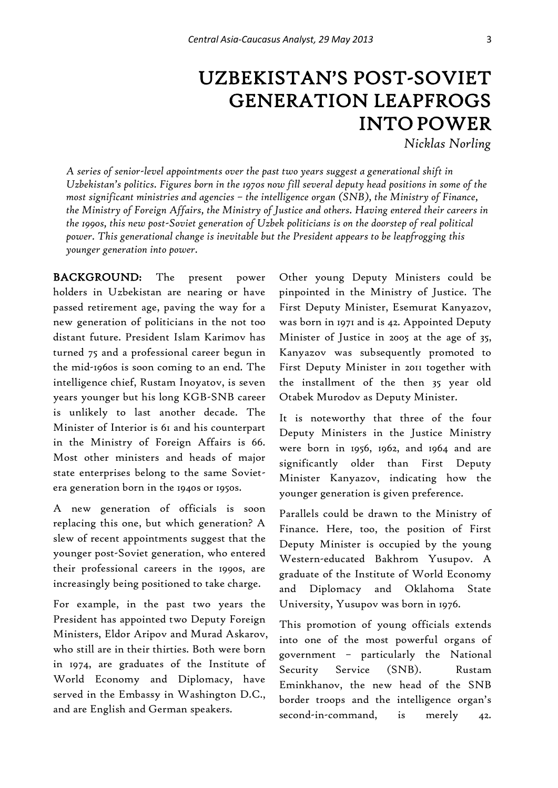## UZBEKISTAN'S POST-SOVIET GENERATION LEAPFROGS INTO POWER

*Nicklas Norling*

*A series of senior-level appointments over the past two years suggest a generational shift in Uzbekistan's politics. Figures born in the 1970s now fill several deputy head positions in some of the most significant ministries and agencies – the intelligence organ (SNB), the Ministry of Finance, the Ministry of Foreign Affairs, the Ministry of Justice and others. Having entered their careers in the 1990s, this new post-Soviet generation of Uzbek politicians is on the doorstep of real political power. This generational change is inevitable but the President appears to be leapfrogging this younger generation into power.* 

BACKGROUND: The present power holders in Uzbekistan are nearing or have passed retirement age, paving the way for a new generation of politicians in the not too distant future. President Islam Karimov has turned 75 and a professional career begun in the mid-1960s is soon coming to an end. The intelligence chief, Rustam Inoyatov, is seven years younger but his long KGB-SNB career is unlikely to last another decade. The Minister of Interior is 61 and his counterpart in the Ministry of Foreign Affairs is 66. Most other ministers and heads of major state enterprises belong to the same Sovietera generation born in the 1940s or 1950s.

A new generation of officials is soon replacing this one, but which generation? A slew of recent appointments suggest that the younger post-Soviet generation, who entered their professional careers in the 1990s, are increasingly being positioned to take charge.

For example, in the past two years the President has appointed two Deputy Foreign Ministers, Eldor Aripov and Murad Askarov, who still are in their thirties. Both were born in 1974, are graduates of the Institute of World Economy and Diplomacy, have served in the Embassy in Washington D.C., and are English and German speakers.

Other young Deputy Ministers could be pinpointed in the Ministry of Justice. The First Deputy Minister, Esemurat Kanyazov, was born in 1971 and is 42. Appointed Deputy Minister of Justice in 2005 at the age of 35, Kanyazov was subsequently promoted to First Deputy Minister in 2011 together with the installment of the then 35 year old Otabek Murodov as Deputy Minister.

It is noteworthy that three of the four Deputy Ministers in the Justice Ministry were born in 1956, 1962, and 1964 and are significantly older than First Deputy Minister Kanyazov, indicating how the younger generation is given preference.

Parallels could be drawn to the Ministry of Finance. Here, too, the position of First Deputy Minister is occupied by the young Western-educated Bakhrom Yusupov. A graduate of the Institute of World Economy and Diplomacy and Oklahoma State University, Yusupov was born in 1976.

This promotion of young officials extends into one of the most powerful organs of government – particularly the National Security Service (SNB). Rustam Eminkhanov, the new head of the SNB border troops and the intelligence organ's second-in-command, is merely 42.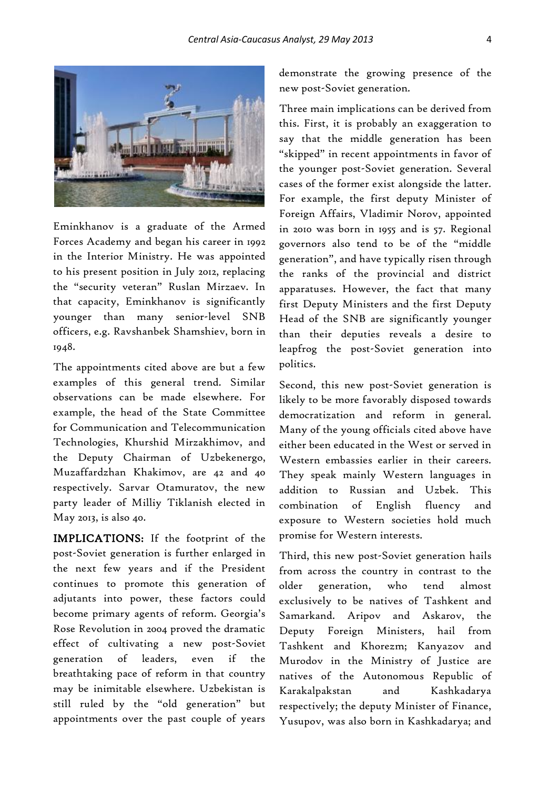

Eminkhanov is a graduate of the Armed Forces Academy and began his career in 1992 in the Interior Ministry. He was appointed to his present position in July 2012, replacing the "security veteran" Ruslan Mirzaev. In that capacity, Eminkhanov is significantly younger than many senior-level SNB officers, e.g. Ravshanbek Shamshiev, born in 1948.

The appointments cited above are but a few examples of this general trend. Similar observations can be made elsewhere. For example, the head of the State Committee for Communication and Telecommunication Technologies, Khurshid Mirzakhimov, and the Deputy Chairman of Uzbekenergo, Muzaffardzhan Khakimov, are 42 and 40 respectively. Sarvar Otamuratov, the new party leader of Milliy Tiklanish elected in May 2013, is also 40.

IMPLICATIONS: If the footprint of the post-Soviet generation is further enlarged in the next few years and if the President continues to promote this generation of adjutants into power, these factors could become primary agents of reform. Georgia's Rose Revolution in 2004 proved the dramatic effect of cultivating a new post-Soviet generation of leaders, even if the breathtaking pace of reform in that country may be inimitable elsewhere. Uzbekistan is still ruled by the "old generation" but appointments over the past couple of years

demonstrate the growing presence of the new post-Soviet generation.

Three main implications can be derived from this. First, it is probably an exaggeration to say that the middle generation has been "skipped" in recent appointments in favor of the younger post-Soviet generation. Several cases of the former exist alongside the latter. For example, the first deputy Minister of Foreign Affairs, Vladimir Norov, appointed in 2010 was born in 1955 and is 57. Regional governors also tend to be of the "middle generation", and have typically risen through the ranks of the provincial and district apparatuses. However, the fact that many first Deputy Ministers and the first Deputy Head of the SNB are significantly younger than their deputies reveals a desire to leapfrog the post-Soviet generation into politics.

Second, this new post-Soviet generation is likely to be more favorably disposed towards democratization and reform in general. Many of the young officials cited above have either been educated in the West or served in Western embassies earlier in their careers. They speak mainly Western languages in addition to Russian and Uzbek. This combination of English fluency and exposure to Western societies hold much promise for Western interests.

Third, this new post-Soviet generation hails from across the country in contrast to the older generation, who tend almost exclusively to be natives of Tashkent and Samarkand. Aripov and Askarov, the Deputy Foreign Ministers, hail from Tashkent and Khorezm; Kanyazov and Murodov in the Ministry of Justice are natives of the Autonomous Republic of Karakalpakstan and Kashkadarya respectively; the deputy Minister of Finance, Yusupov, was also born in Kashkadarya; and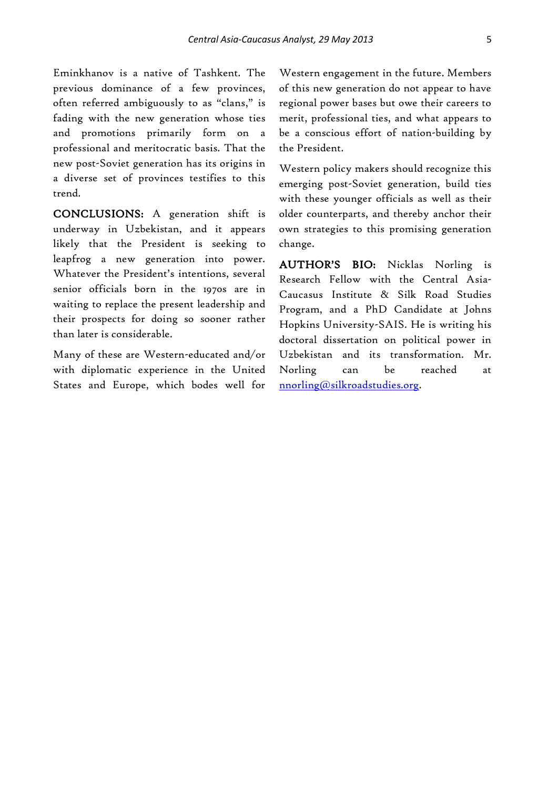Eminkhanov is a native of Tashkent. The previous dominance of a few provinces, often referred ambiguously to as "clans," is fading with the new generation whose ties and promotions primarily form on a professional and meritocratic basis. That the new post-Soviet generation has its origins in a diverse set of provinces testifies to this trend.

CONCLUSIONS: A generation shift is underway in Uzbekistan, and it appears likely that the President is seeking to leapfrog a new generation into power. Whatever the President's intentions, several senior officials born in the 1970s are in waiting to replace the present leadership and their prospects for doing so sooner rather than later is considerable.

Many of these are Western-educated and/or with diplomatic experience in the United States and Europe, which bodes well for

Western engagement in the future. Members of this new generation do not appear to have regional power bases but owe their careers to merit, professional ties, and what appears to be a conscious effort of nation-building by the President.

Western policy makers should recognize this emerging post-Soviet generation, build ties with these younger officials as well as their older counterparts, and thereby anchor their own strategies to this promising generation change.

AUTHOR'S BIO: Nicklas Norling is Research Fellow with the Central Asia-Caucasus Institute & Silk Road Studies Program, and a PhD Candidate at Johns Hopkins University-SAIS. He is writing his doctoral dissertation on political power in Uzbekistan and its transformation. Mr. Norling can be reached at [nnorling@silkroadstudies.org.](mailto:nnorling@silkroadstudies.org)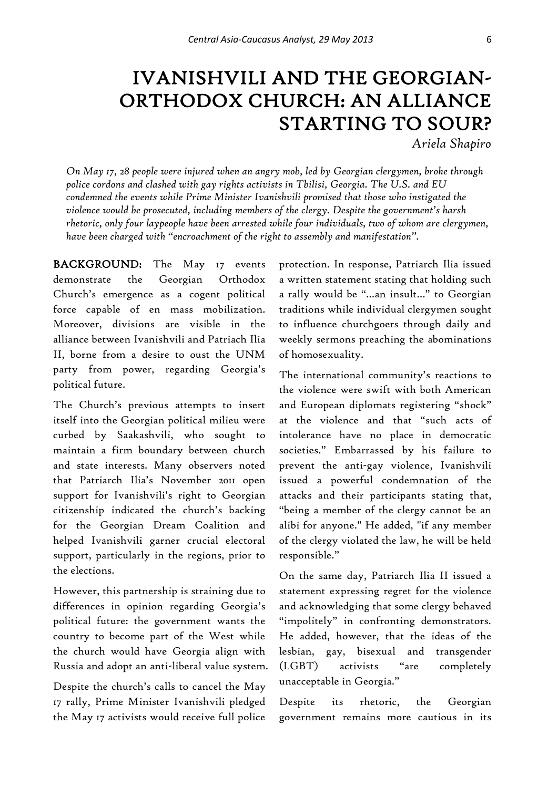## IVANISHVILI AND THE GEORGIAN-ORTHODOX CHURCH: AN ALLIANCE STARTING TO SOUR?

*Ariela Shapiro*

*On May 17, 28 people were injured when an angry mob, led by Georgian clergymen, broke through police cordons and clashed with gay rights activists in Tbilisi, Georgia. The U.S. and EU condemned the events while Prime Minister Ivanishvili promised that those who instigated the violence would be prosecuted, including members of the clergy. Despite the government's harsh rhetoric, only four laypeople have been arrested while four individuals, two of whom are clergymen, have been charged with "encroachment of the right to assembly and manifestation".* 

BACKGROUND: The May 17 events demonstrate the Georgian Orthodox Church's emergence as a cogent political force capable of en mass mobilization. Moreover, divisions are visible in the alliance between Ivanishvili and Patriach Ilia II, borne from a desire to oust the UNM party from power, regarding Georgia's political future.

The Church's previous attempts to insert itself into the Georgian political milieu were curbed by Saakashvili, who sought to maintain a firm boundary between church and state interests. Many observers noted that Patriarch Ilia's November 2011 open support for Ivanishvili's right to Georgian citizenship indicated the church's backing for the Georgian Dream Coalition and helped Ivanishvili garner crucial electoral support, particularly in the regions, prior to the elections.

However, this partnership is straining due to differences in opinion regarding Georgia's political future: the government wants the country to become part of the West while the church would have Georgia align with Russia and adopt an anti-liberal value system.

Despite the church's calls to cancel the May 17 rally, Prime Minister Ivanishvili pledged the May 17 activists would receive full police

protection. In response, Patriarch Ilia issued a written statement stating that holding such a rally would be "…an insult…" to Georgian traditions while individual clergymen sought to influence churchgoers through daily and weekly sermons preaching the abominations of homosexuality.

The international community's reactions to the violence were swift with both American and European diplomats registering "shock" at the violence and that "such acts of intolerance have no place in democratic societies." Embarrassed by his failure to prevent the anti-gay violence, Ivanishvili issued a powerful condemnation of the attacks and their participants stating that, "being a member of the clergy cannot be an alibi for anyone." He added, "if any member of the clergy violated the law, he will be held responsible."

On the same day, Patriarch Ilia II issued a statement expressing regret for the violence and acknowledging that some clergy behaved "impolitely" in confronting demonstrators. He added, however, that the ideas of the lesbian, gay, bisexual and transgender (LGBT) activists "are completely unacceptable in Georgia."

Despite its rhetoric, the Georgian government remains more cautious in its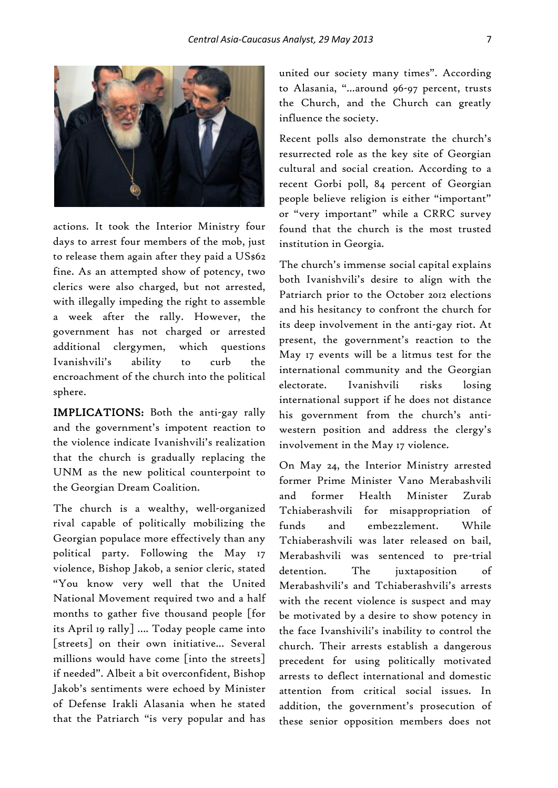

actions. It took the Interior Ministry four days to arrest four members of the mob, just to release them again after they paid a US\$62 fine. As an attempted show of potency, two clerics were also charged, but not arrested, with illegally impeding the right to assemble a week after the rally. However, the government has not charged or arrested additional clergymen, which questions Ivanishvili's ability to curb the encroachment of the church into the political sphere.

IMPLICATIONS: Both the anti-gay rally and the government's impotent reaction to the violence indicate Ivanishvili's realization that the church is gradually replacing the UNM as the new political counterpoint to the Georgian Dream Coalition.

The church is a wealthy, well-organized rival capable of politically mobilizing the Georgian populace more effectively than any political party. Following the May 17 violence, Bishop Jakob, a senior cleric, stated "You know very well that the United National Movement required two and a half months to gather five thousand people [for its April 19 rally] …. Today people came into [streets] on their own initiative... Several millions would have come [into the streets] if needed". Albeit a bit overconfident, Bishop Jakob's sentiments were echoed by Minister of Defense Irakli Alasania when he stated that the Patriarch "is very popular and has

united our society many times". According to Alasania, "...around 96-97 percent, trusts the Church, and the Church can greatly influence the society.

Recent polls also demonstrate the church's resurrected role as the key site of Georgian cultural and social creation. According to a recent Gorbi poll, 84 percent of Georgian people believe religion is either "important" or "very important" while a CRRC survey found that the church is the most trusted institution in Georgia.

The church's immense social capital explains both Ivanishvili's desire to align with the Patriarch prior to the October 2012 elections and his hesitancy to confront the church for its deep involvement in the anti-gay riot. At present, the government's reaction to the May 17 events will be a litmus test for the international community and the Georgian electorate. Ivanishvili risks losing international support if he does not distance his government from the church's antiwestern position and address the clergy's involvement in the May 17 violence.

On May 24, the Interior Ministry arrested former Prime Minister Vano Merabashvili and former Health Minister Zurab Tchiaberashvili for misappropriation of funds and embezzlement. While Tchiaberashvili was later released on bail, Merabashvili was sentenced to pre-trial detention. The juxtaposition of Merabashvili's and Tchiaberashvili's arrests with the recent violence is suspect and may be motivated by a desire to show potency in the face Ivanshivili's inability to control the church. Their arrests establish a dangerous precedent for using politically motivated arrests to deflect international and domestic attention from critical social issues. In addition, the government's prosecution of these senior opposition members does not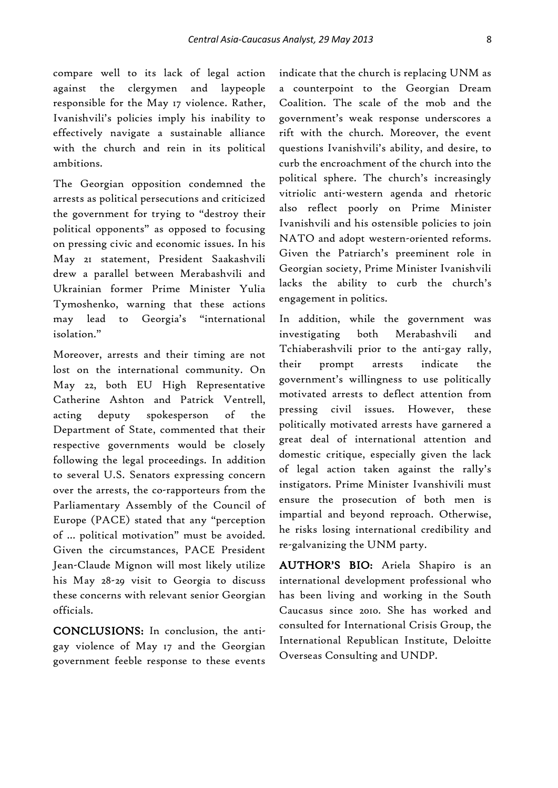compare well to its lack of legal action against the clergymen and laypeople responsible for the May 17 violence. Rather, Ivanishvili's policies imply his inability to effectively navigate a sustainable alliance with the church and rein in its political ambitions.

The Georgian opposition condemned the arrests as political persecutions and criticized the government for trying to "destroy their political opponents" as opposed to focusing on pressing civic and economic issues. In his May 21 statement, President Saakashvili drew a parallel between Merabashvili and Ukrainian former Prime Minister Yulia Tymoshenko, warning that these actions may lead to Georgia's "international isolation."

Moreover, arrests and their timing are not lost on the international community. On May 22, both EU High Representative Catherine Ashton and Patrick Ventrell, acting deputy spokesperson of the Department of State, commented that their respective governments would be closely following the legal proceedings. In addition to several U.S. Senators expressing concern over the arrests, the co-rapporteurs from the Parliamentary Assembly of the Council of Europe (PACE) stated that any "perception of … political motivation" must be avoided. Given the circumstances, PACE President Jean-Claude Mignon will most likely utilize his May 28-29 visit to Georgia to discuss these concerns with relevant senior Georgian officials.

CONCLUSIONS: In conclusion, the antigay violence of May 17 and the Georgian government feeble response to these events indicate that the church is replacing UNM as a counterpoint to the Georgian Dream Coalition. The scale of the mob and the government's weak response underscores a rift with the church. Moreover, the event questions Ivanishvili's ability, and desire, to curb the encroachment of the church into the political sphere. The church's increasingly vitriolic anti-western agenda and rhetoric also reflect poorly on Prime Minister Ivanishvili and his ostensible policies to join NATO and adopt western-oriented reforms. Given the Patriarch's preeminent role in Georgian society, Prime Minister Ivanishvili lacks the ability to curb the church's engagement in politics.

In addition, while the government was investigating both Merabashvili and Tchiaberashvili prior to the anti-gay rally, their prompt arrests indicate the government's willingness to use politically motivated arrests to deflect attention from pressing civil issues. However, these politically motivated arrests have garnered a great deal of international attention and domestic critique, especially given the lack of legal action taken against the rally's instigators. Prime Minister Ivanshivili must ensure the prosecution of both men is impartial and beyond reproach. Otherwise, he risks losing international credibility and re-galvanizing the UNM party.

AUTHOR'S BIO: Ariela Shapiro is an international development professional who has been living and working in the South Caucasus since 2010. She has worked and consulted for International Crisis Group, the International Republican Institute, Deloitte Overseas Consulting and UNDP.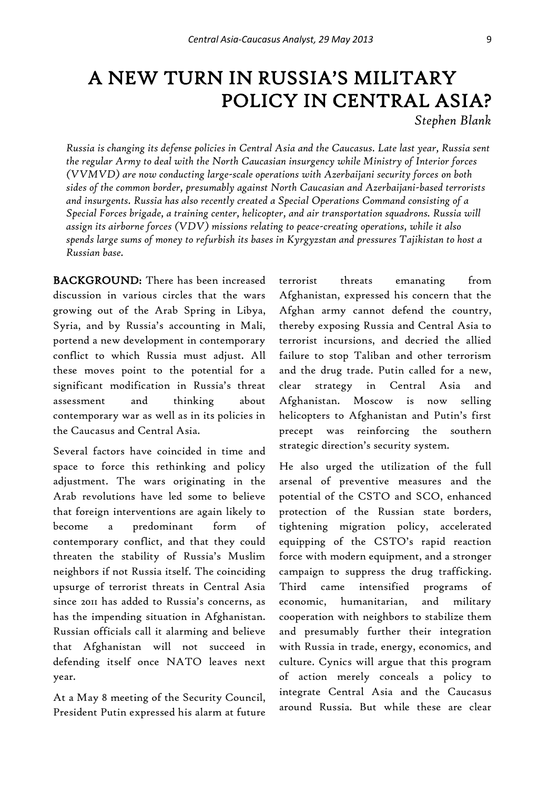## A NEW TURN IN RUSSIA'S MILITARY POLICY IN CENTRAL ASIA?

*Stephen Blank*

*Russia is changing its defense policies in Central Asia and the Caucasus. Late last year, Russia sent the regular Army to deal with the North Caucasian insurgency while Ministry of Interior forces (VVMVD) are now conducting large-scale operations with Azerbaijani security forces on both sides of the common border, presumably against North Caucasian and Azerbaijani-based terrorists and insurgents. Russia has also recently created a Special Operations Command consisting of a Special Forces brigade, a training center, helicopter, and air transportation squadrons. Russia will assign its airborne forces (VDV) missions relating to peace-creating operations, while it also spends large sums of money to refurbish its bases in Kyrgyzstan and pressures Tajikistan to host a Russian base.* 

BACKGROUND: There has been increased discussion in various circles that the wars growing out of the Arab Spring in Libya, Syria, and by Russia's accounting in Mali, portend a new development in contemporary conflict to which Russia must adjust. All these moves point to the potential for a significant modification in Russia's threat assessment and thinking about contemporary war as well as in its policies in the Caucasus and Central Asia.

Several factors have coincided in time and space to force this rethinking and policy adjustment. The wars originating in the Arab revolutions have led some to believe that foreign interventions are again likely to become a predominant form of contemporary conflict, and that they could threaten the stability of Russia's Muslim neighbors if not Russia itself. The coinciding upsurge of terrorist threats in Central Asia since 2011 has added to Russia's concerns, as has the impending situation in Afghanistan. Russian officials call it alarming and believe that Afghanistan will not succeed in defending itself once NATO leaves next year.

At a May 8 meeting of the Security Council, President Putin expressed his alarm at future terrorist threats emanating from Afghanistan, expressed his concern that the Afghan army cannot defend the country, thereby exposing Russia and Central Asia to terrorist incursions, and decried the allied failure to stop Taliban and other terrorism and the drug trade. Putin called for a new, clear strategy in Central Asia and Afghanistan. Moscow is now selling helicopters to Afghanistan and Putin's first precept was reinforcing the southern strategic direction's security system.

He also urged the utilization of the full arsenal of preventive measures and the potential of the CSTO and SCO, enhanced protection of the Russian state borders, tightening migration policy, accelerated equipping of the CSTO's rapid reaction force with modern equipment, and a stronger campaign to suppress the drug trafficking. Third came intensified programs of economic, humanitarian, and military cooperation with neighbors to stabilize them and presumably further their integration with Russia in trade, energy, economics, and culture. Cynics will argue that this program of action merely conceals a policy to integrate Central Asia and the Caucasus around Russia. But while these are clear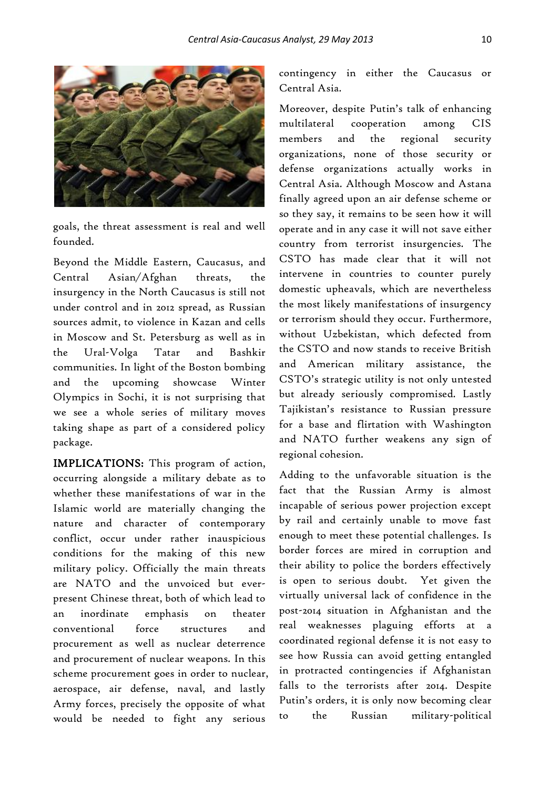

goals, the threat assessment is real and well founded.

Beyond the Middle Eastern, Caucasus, and Central Asian/Afghan threats, the insurgency in the North Caucasus is still not under control and in 2012 spread, as Russian sources admit, to violence in Kazan and cells in Moscow and St. Petersburg as well as in the Ural-Volga Tatar and Bashkir communities. In light of the Boston bombing and the upcoming showcase Winter Olympics in Sochi, it is not surprising that we see a whole series of military moves taking shape as part of a considered policy package.

IMPLICATIONS: This program of action, occurring alongside a military debate as to whether these manifestations of war in the Islamic world are materially changing the nature and character of contemporary conflict, occur under rather inauspicious conditions for the making of this new military policy. Officially the main threats are NATO and the unvoiced but everpresent Chinese threat, both of which lead to an inordinate emphasis on theater conventional force structures and procurement as well as nuclear deterrence and procurement of nuclear weapons. In this scheme procurement goes in order to nuclear, aerospace, air defense, naval, and lastly Army forces, precisely the opposite of what would be needed to fight any serious

contingency in either the Caucasus or Central Asia.

Moreover, despite Putin's talk of enhancing multilateral cooperation among CIS members and the regional security organizations, none of those security or defense organizations actually works in Central Asia. Although Moscow and Astana finally agreed upon an air defense scheme or so they say, it remains to be seen how it will operate and in any case it will not save either country from terrorist insurgencies. The CSTO has made clear that it will not intervene in countries to counter purely domestic upheavals, which are nevertheless the most likely manifestations of insurgency or terrorism should they occur. Furthermore, without Uzbekistan, which defected from the CSTO and now stands to receive British and American military assistance, the CSTO's strategic utility is not only untested but already seriously compromised. Lastly Tajikistan's resistance to Russian pressure for a base and flirtation with Washington and NATO further weakens any sign of regional cohesion.

Adding to the unfavorable situation is the fact that the Russian Army is almost incapable of serious power projection except by rail and certainly unable to move fast enough to meet these potential challenges. Is border forces are mired in corruption and their ability to police the borders effectively is open to serious doubt. Yet given the virtually universal lack of confidence in the post-2014 situation in Afghanistan and the real weaknesses plaguing efforts at a coordinated regional defense it is not easy to see how Russia can avoid getting entangled in protracted contingencies if Afghanistan falls to the terrorists after 2014. Despite Putin's orders, it is only now becoming clear to the Russian military-political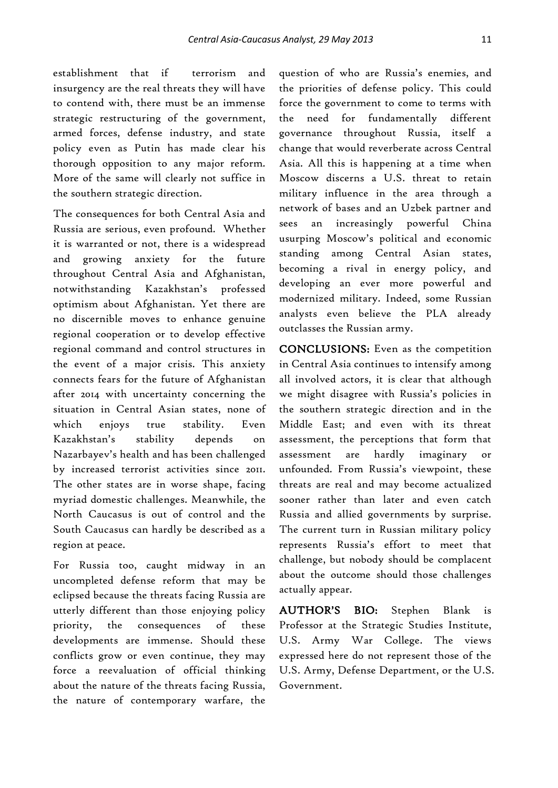establishment that if terrorism and insurgency are the real threats they will have to contend with, there must be an immense strategic restructuring of the government, armed forces, defense industry, and state policy even as Putin has made clear his thorough opposition to any major reform. More of the same will clearly not suffice in the southern strategic direction.

The consequences for both Central Asia and Russia are serious, even profound. Whether it is warranted or not, there is a widespread and growing anxiety for the future throughout Central Asia and Afghanistan, notwithstanding Kazakhstan's professed optimism about Afghanistan. Yet there are no discernible moves to enhance genuine regional cooperation or to develop effective regional command and control structures in the event of a major crisis. This anxiety connects fears for the future of Afghanistan after 2014 with uncertainty concerning the situation in Central Asian states, none of which enjoys true stability. Even Kazakhstan's stability depends on Nazarbayev's health and has been challenged by increased terrorist activities since 2011. The other states are in worse shape, facing myriad domestic challenges. Meanwhile, the North Caucasus is out of control and the South Caucasus can hardly be described as a region at peace.

For Russia too, caught midway in an uncompleted defense reform that may be eclipsed because the threats facing Russia are utterly different than those enjoying policy priority, the consequences of these developments are immense. Should these conflicts grow or even continue, they may force a reevaluation of official thinking about the nature of the threats facing Russia, the nature of contemporary warfare, the

question of who are Russia's enemies, and the priorities of defense policy. This could force the government to come to terms with the need for fundamentally different governance throughout Russia, itself a change that would reverberate across Central Asia. All this is happening at a time when Moscow discerns a U.S. threat to retain military influence in the area through a network of bases and an Uzbek partner and sees an increasingly powerful China usurping Moscow's political and economic standing among Central Asian states, becoming a rival in energy policy, and developing an ever more powerful and modernized military. Indeed, some Russian analysts even believe the PLA already outclasses the Russian army.

CONCLUSIONS: Even as the competition in Central Asia continues to intensify among all involved actors, it is clear that although we might disagree with Russia's policies in the southern strategic direction and in the Middle East; and even with its threat assessment, the perceptions that form that assessment are hardly imaginary or unfounded. From Russia's viewpoint, these threats are real and may become actualized sooner rather than later and even catch Russia and allied governments by surprise. The current turn in Russian military policy represents Russia's effort to meet that challenge, but nobody should be complacent about the outcome should those challenges actually appear.

AUTHOR'S BIO: Stephen Blank is Professor at the Strategic Studies Institute, U.S. Army War College. The views expressed here do not represent those of the U.S. Army, Defense Department, or the U.S. Government.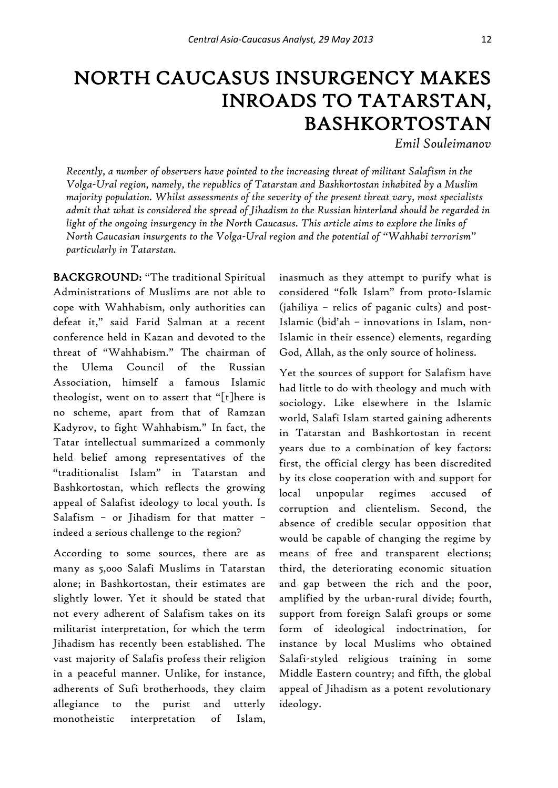## NORTH CAUCASUS INSURGENCY MAKES INROADS TO TATARSTAN, BASHKORTOSTAN

*Emil Souleimanov*

*Recently, a number of observers have pointed to the increasing threat of militant Salafism in the Volga-Ural region, namely, the republics of Tatarstan and Bashkortostan inhabited by a Muslim majority population. Whilst assessments of the severity of the present threat vary, most specialists admit that what is considered the spread of Jihadism to the Russian hinterland should be regarded in light of the ongoing insurgency in the North Caucasus. This article aims to explore the links of North Caucasian insurgents to the Volga-Ural region and the potential of "Wahhabi terrorism" particularly in Tatarstan.* 

BACKGROUND: "The traditional Spiritual Administrations of Muslims are not able to cope with Wahhabism, only authorities can defeat it," said Farid Salman at a recent conference held in Kazan and devoted to the threat of "Wahhabism." The chairman of the Ulema Council of the Russian Association, himself a famous Islamic theologist, went on to assert that "[t]here is no scheme, apart from that of Ramzan Kadyrov, to fight Wahhabism." In fact, the Tatar intellectual summarized a commonly held belief among representatives of the "traditionalist Islam" in Tatarstan and Bashkortostan, which reflects the growing appeal of Salafist ideology to local youth. Is Salafism – or Jihadism for that matter – indeed a serious challenge to the region?

According to some sources, there are as many as 5,000 Salafi Muslims in Tatarstan alone; in Bashkortostan, their estimates are slightly lower. Yet it should be stated that not every adherent of Salafism takes on its militarist interpretation, for which the term Jihadism has recently been established. The vast majority of Salafis profess their religion in a peaceful manner. Unlike, for instance, adherents of Sufi brotherhoods, they claim allegiance to the purist and utterly monotheistic interpretation of Islam, inasmuch as they attempt to purify what is considered "folk Islam" from proto-Islamic (jahiliya – relics of paganic cults) and post-Islamic (bid'ah – innovations in Islam, non-Islamic in their essence) elements, regarding God, Allah, as the only source of holiness.

Yet the sources of support for Salafism have had little to do with theology and much with sociology. Like elsewhere in the Islamic world, Salafi Islam started gaining adherents in Tatarstan and Bashkortostan in recent years due to a combination of key factors: first, the official clergy has been discredited by its close cooperation with and support for local unpopular regimes accused of corruption and clientelism. Second, the absence of credible secular opposition that would be capable of changing the regime by means of free and transparent elections; third, the deteriorating economic situation and gap between the rich and the poor, amplified by the urban-rural divide; fourth, support from foreign Salafi groups or some form of ideological indoctrination, for instance by local Muslims who obtained Salafi-styled religious training in some Middle Eastern country; and fifth, the global appeal of Jihadism as a potent revolutionary ideology.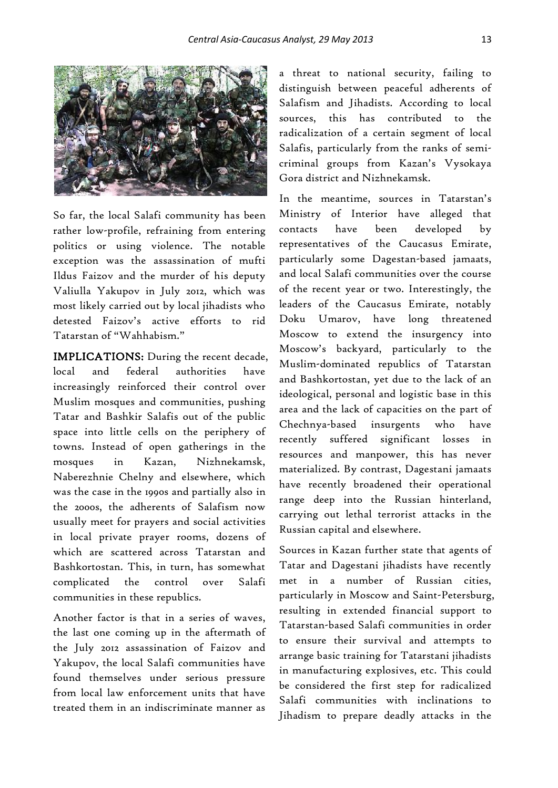

So far, the local Salafi community has been rather low-profile, refraining from entering politics or using violence. The notable exception was the assassination of mufti Ildus Faizov and the murder of his deputy Valiulla Yakupov in July 2012, which was most likely carried out by local jihadists who detested Faizov's active efforts to rid Tatarstan of "Wahhabism."

IMPLICATIONS: During the recent decade, local and federal authorities have increasingly reinforced their control over Muslim mosques and communities, pushing Tatar and Bashkir Salafis out of the public space into little cells on the periphery of towns. Instead of open gatherings in the mosques in Kazan, Nizhnekamsk, Naberezhnie Chelny and elsewhere, which was the case in the 1990s and partially also in the 2000s, the adherents of Salafism now usually meet for prayers and social activities in local private prayer rooms, dozens of which are scattered across Tatarstan and Bashkortostan. This, in turn, has somewhat complicated the control over Salafi communities in these republics.

Another factor is that in a series of waves, the last one coming up in the aftermath of the July 2012 assassination of Faizov and Yakupov, the local Salafi communities have found themselves under serious pressure from local law enforcement units that have treated them in an indiscriminate manner as

a threat to national security, failing to distinguish between peaceful adherents of Salafism and Jihadists. According to local sources, this has contributed to the radicalization of a certain segment of local Salafis, particularly from the ranks of semicriminal groups from Kazan's Vysokaya Gora district and Nizhnekamsk.

In the meantime, sources in Tatarstan's Ministry of Interior have alleged that contacts have been developed by representatives of the Caucasus Emirate, particularly some Dagestan-based jamaats, and local Salafi communities over the course of the recent year or two. Interestingly, the leaders of the Caucasus Emirate, notably Doku Umarov, have long threatened Moscow to extend the insurgency into Moscow's backyard, particularly to the Muslim-dominated republics of Tatarstan and Bashkortostan, yet due to the lack of an ideological, personal and logistic base in this area and the lack of capacities on the part of Chechnya-based insurgents who have recently suffered significant losses in resources and manpower, this has never materialized. By contrast, Dagestani jamaats have recently broadened their operational range deep into the Russian hinterland, carrying out lethal terrorist attacks in the Russian capital and elsewhere.

Sources in Kazan further state that agents of Tatar and Dagestani jihadists have recently met in a number of Russian cities, particularly in Moscow and Saint-Petersburg, resulting in extended financial support to Tatarstan-based Salafi communities in order to ensure their survival and attempts to arrange basic training for Tatarstani jihadists in manufacturing explosives, etc. This could be considered the first step for radicalized Salafi communities with inclinations to Jihadism to prepare deadly attacks in the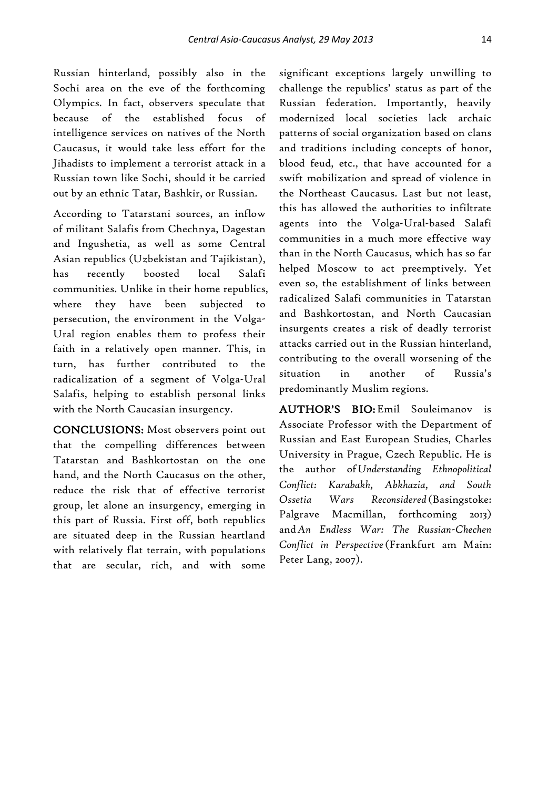Russian hinterland, possibly also in the Sochi area on the eve of the forthcoming Olympics. In fact, observers speculate that because of the established focus intelligence services on natives of the North Caucasus, it would take less effort for the Jihadists to implement a terrorist attack in a Russian town like Sochi, should it be carried out by an ethnic Tatar, Bashkir, or Russian.

According to Tatarstani sources, an inflow of militant Salafis from Chechnya, Dagestan and Ingushetia, as well as some Central Asian republics (Uzbekistan and Tajikistan), has recently boosted local Salafi communities. Unlike in their home republics, where they have been subjected persecution, the environment in the Volga-Ural region enables them to profess their faith in a relatively open manner. This, in turn, has further contributed to the radicalization of a segment of Volga-Ural Salafis, helping to establish personal links with the North Caucasian insurgency.

CONCLUSIONS: Most observers point out that the compelling differences between Tatarstan and Bashkortostan on the one hand, and the North Caucasus on the other, reduce the risk that of effective terrorist group, let alone an insurgency, emerging in this part of Russia. First off, both republics are situated deep in the Russian heartland with relatively flat terrain, with populations that are secular, rich, and with some

significant exceptions largely unwilling to challenge the republics' status as part of the Russian federation. Importantly, heavily modernized local societies lack archaic patterns of social organization based on clans and traditions including concepts of honor, blood feud, etc., that have accounted for a swift mobilization and spread of violence in the Northeast Caucasus. Last but not least, this has allowed the authorities to infiltrate agents into the Volga-Ural-based Salafi communities in a much more effective way than in the North Caucasus, which has so far helped Moscow to act preemptively. Yet even so, the establishment of links between radicalized Salafi communities in Tatarstan and Bashkortostan, and North Caucasian insurgents creates a risk of deadly terrorist attacks carried out in the Russian hinterland, contributing to the overall worsening of the situation in another of Russia's predominantly Muslim regions.

AUTHOR'S BIO: Emil Souleimanov is Associate Professor with the Department of Russian and East European Studies, Charles University in Prague, Czech Republic. He is the author of*Understanding Ethnopolitical Conflict: Karabakh, Abkhazia, and South Ossetia Wars Reconsidered* (Basingstoke: Palgrave Macmillan, forthcoming 2013) and*An Endless War: The Russian-Chechen Conflict in Perspective*(Frankfurt am Main: Peter Lang, 2007).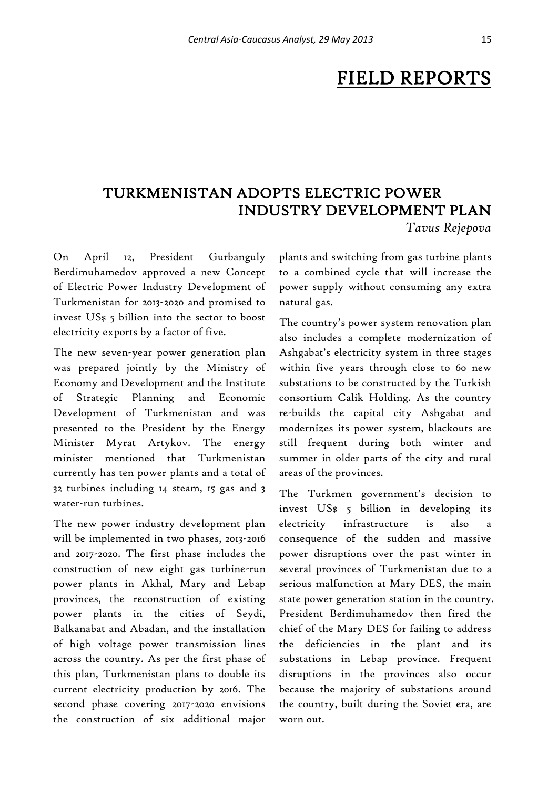## FIELD REPORTS

#### TURKMENISTAN ADOPTS ELECTRIC POWER INDUSTRY DEVELOPMENT PLAN *Tavus Rejepova*

On April 12, President Gurbanguly Berdimuhamedov approved a new Concept of Electric Power Industry Development of Turkmenistan for 2013-2020 and promised to invest US\$ 5 billion into the sector to boost electricity exports by a factor of five.

The new seven-year power generation plan was prepared jointly by the Ministry of Economy and Development and the Institute of Strategic Planning and Economic Development of Turkmenistan and was presented to the President by the Energy Minister Myrat Artykov. The energy minister mentioned that Turkmenistan currently has ten power plants and a total of 32 turbines including 14 steam, 15 gas and 3 water-run turbines.

The new power industry development plan will be implemented in two phases, 2013-2016 and 2017-2020. The first phase includes the construction of new eight gas turbine-run power plants in Akhal, Mary and Lebap provinces, the reconstruction of existing power plants in the cities of Seydi, Balkanabat and Abadan, and the installation of high voltage power transmission lines across the country. As per the first phase of this plan, Turkmenistan plans to double its current electricity production by 2016. The second phase covering 2017-2020 envisions the construction of six additional major

plants and switching from gas turbine plants to a combined cycle that will increase the power supply without consuming any extra natural gas.

The country's power system renovation plan also includes a complete modernization of Ashgabat's electricity system in three stages within five years through close to 60 new substations to be constructed by the Turkish consortium Calik Holding. As the country re-builds the capital city Ashgabat and modernizes its power system, blackouts are still frequent during both winter and summer in older parts of the city and rural areas of the provinces.

The Turkmen government's decision to invest US\$ 5 billion in developing its electricity infrastructure is also a consequence of the sudden and massive power disruptions over the past winter in several provinces of Turkmenistan due to a serious malfunction at Mary DES, the main state power generation station in the country. President Berdimuhamedov then fired the chief of the Mary DES for failing to address the deficiencies in the plant and its substations in Lebap province. Frequent disruptions in the provinces also occur because the majority of substations around the country, built during the Soviet era, are worn out.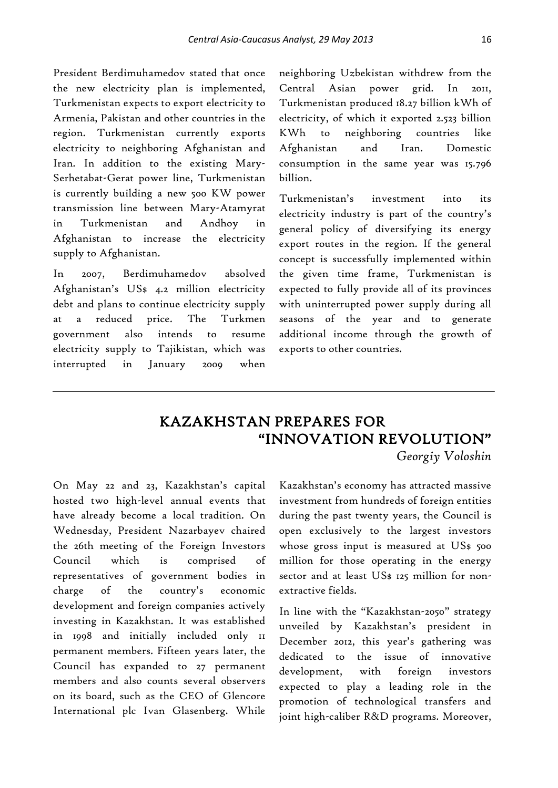President Berdimuhamedov stated that once the new electricity plan is implemented, Turkmenistan expects to export electricity to Armenia, Pakistan and other countries in the region. Turkmenistan currently exports electricity to neighboring Afghanistan and Iran. In addition to the existing Mary-Serhetabat-Gerat power line, Turkmenistan is currently building a new 500 KW power transmission line between Mary-Atamyrat in Turkmenistan and Andhoy in Afghanistan to increase the electricity supply to Afghanistan.

In 2007, Berdimuhamedov absolved Afghanistan's US\$ 4.2 million electricity debt and plans to continue electricity supply at a reduced price. The Turkmen government also intends to resume electricity supply to Tajikistan, which was interrupted in January 2009 when neighboring Uzbekistan withdrew from the Central Asian power grid. In 2011, Turkmenistan produced 18.27 billion kWh of electricity, of which it exported 2.523 billion KWh to neighboring countries like Afghanistan and Iran. Domestic consumption in the same year was 15.796 billion.

Turkmenistan's investment into its electricity industry is part of the country's general policy of diversifying its energy export routes in the region. If the general concept is successfully implemented within the given time frame, Turkmenistan is expected to fully provide all of its provinces with uninterrupted power supply during all seasons of the year and to generate additional income through the growth of exports to other countries.

## KAZAKHSTAN PREPARES FOR "INNOVATION REVOLUTION"

*Georgiy Voloshin*

On May 22 and 23, Kazakhstan's capital hosted two high-level annual events that have already become a local tradition. On Wednesday, President Nazarbayev chaired the 26th meeting of the Foreign Investors Council which is comprised of representatives of government bodies in charge of the country's economic development and foreign companies actively investing in Kazakhstan. It was established in 1998 and initially included only 11 permanent members. Fifteen years later, the Council has expanded to 27 permanent members and also counts several observers on its board, such as the CEO of Glencore International plc Ivan Glasenberg. While Kazakhstan's economy has attracted massive investment from hundreds of foreign entities during the past twenty years, the Council is open exclusively to the largest investors whose gross input is measured at US\$ 500 million for those operating in the energy sector and at least US\$ 125 million for nonextractive fields.

In line with the "Kazakhstan-2050" strategy unveiled by Kazakhstan's president in December 2012, this year's gathering was dedicated to the issue of innovative development, with foreign investors expected to play a leading role in the promotion of technological transfers and joint high-caliber R&D programs. Moreover,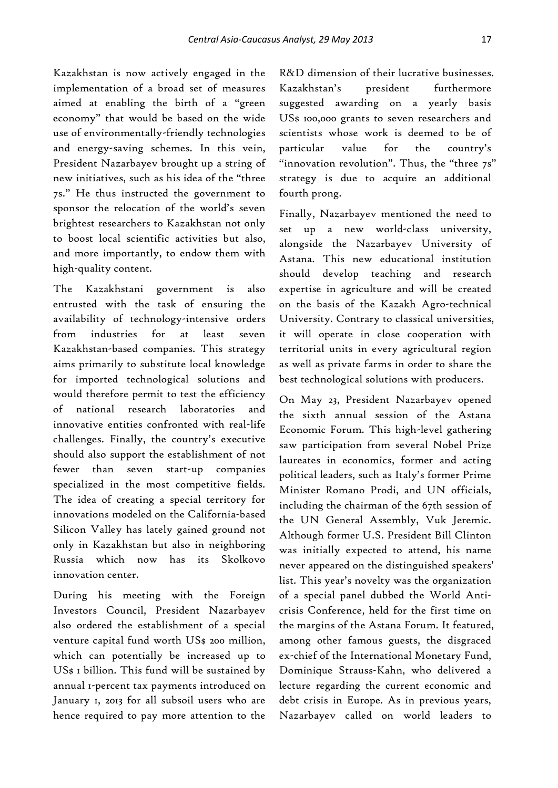Kazakhstan is now actively engaged in the implementation of a broad set of measures aimed at enabling the birth of a "green economy" that would be based on the wide use of environmentally-friendly technologies and energy-saving schemes. In this vein, President Nazarbayev brought up a string of new initiatives, such as his idea of the "three 7s." He thus instructed the government to sponsor the relocation of the world's seven brightest researchers to Kazakhstan not only to boost local scientific activities but also, and more importantly, to endow them with high-quality content.

The Kazakhstani government is also entrusted with the task of ensuring the availability of technology-intensive orders from industries for at least seven Kazakhstan-based companies. This strategy aims primarily to substitute local knowledge for imported technological solutions and would therefore permit to test the efficiency of national research laboratories and innovative entities confronted with real-life challenges. Finally, the country's executive should also support the establishment of not fewer than seven start-up companies specialized in the most competitive fields. The idea of creating a special territory for innovations modeled on the California-based Silicon Valley has lately gained ground not only in Kazakhstan but also in neighboring Russia which now has its Skolkovo innovation center.

During his meeting with the Foreign Investors Council, President Nazarbayev also ordered the establishment of a special venture capital fund worth US\$ 200 million, which can potentially be increased up to US\$ 1 billion. This fund will be sustained by annual 1-percent tax payments introduced on January 1, 2013 for all subsoil users who are hence required to pay more attention to the R&D dimension of their lucrative businesses. Kazakhstan's president furthermore suggested awarding on a yearly basis US\$ 100,000 grants to seven researchers and scientists whose work is deemed to be of particular value for the country's "innovation revolution". Thus, the "three 7s" strategy is due to acquire an additional fourth prong.

Finally, Nazarbayev mentioned the need to set up a new world-class university, alongside the Nazarbayev University of Astana. This new educational institution should develop teaching and research expertise in agriculture and will be created on the basis of the Kazakh Agro-technical University. Contrary to classical universities, it will operate in close cooperation with territorial units in every agricultural region as well as private farms in order to share the best technological solutions with producers.

On May 23, President Nazarbayev opened the sixth annual session of the Astana Economic Forum. This high-level gathering saw participation from several Nobel Prize laureates in economics, former and acting political leaders, such as Italy's former Prime Minister Romano Prodi, and UN officials, including the chairman of the 67th session of the UN General Assembly, Vuk Jeremic. Although former U.S. President Bill Clinton was initially expected to attend, his name never appeared on the distinguished speakers' list. This year's novelty was the organization of a special panel dubbed the World Anticrisis Conference, held for the first time on the margins of the Astana Forum. It featured, among other famous guests, the disgraced ex-chief of the International Monetary Fund, Dominique Strauss-Kahn, who delivered a lecture regarding the current economic and debt crisis in Europe. As in previous years, Nazarbayev called on world leaders to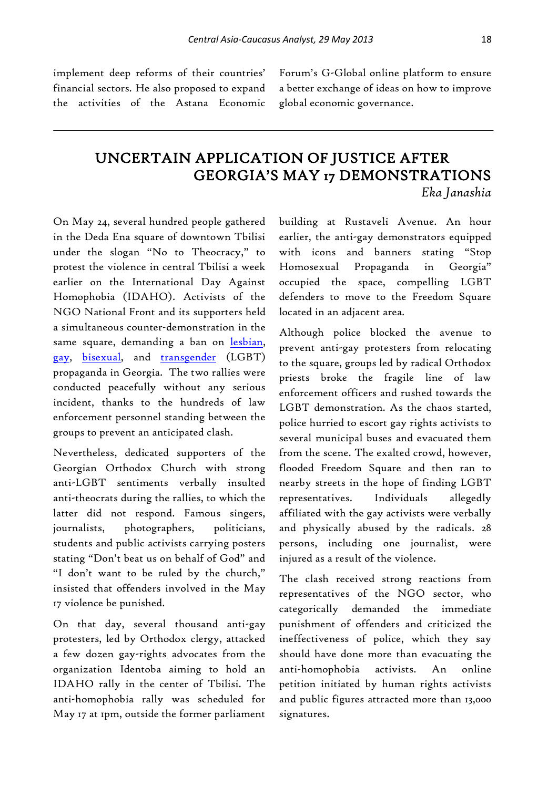implement deep reforms of their countries' financial sectors. He also proposed to expand the activities of the Astana Economic Forum's G-Global online platform to ensure a better exchange of ideas on how to improve global economic governance.

## UNCERTAIN APPLICATION OF JUSTICE AFTER GEORGIA'S MAY 17 DEMONSTRATIONS

*Eka Janashia*

On May 24, several hundred people gathered in the Deda Ena square of downtown Tbilisi under the slogan "No to Theocracy," to protest the violence in central Tbilisi a week earlier on the International Day Against Homophobia (IDAHO). Activists of the NGO National Front and its supporters held a simultaneous counter-demonstration in the same square, demanding a ban on [lesbian,](https://en.wikipedia.org/wiki/Lesbian) [gay,](https://en.wikipedia.org/wiki/Gay) [bisexual,](https://en.wikipedia.org/wiki/Bisexuality) and [transgender](https://en.wikipedia.org/wiki/Transgender) (LGBT) propaganda in Georgia. The two rallies were conducted peacefully without any serious incident, thanks to the hundreds of law enforcement personnel standing between the groups to prevent an anticipated clash.

Nevertheless, dedicated supporters of the Georgian Orthodox Church with strong anti-LGBT sentiments verbally insulted anti-theocrats during the rallies, to which the latter did not respond. Famous singers, journalists, photographers, politicians, students and public activists carrying posters stating "Don't beat us on behalf of God" and "I don't want to be ruled by the church," insisted that offenders involved in the May 17 violence be punished.

On that day, several thousand anti-gay protesters, led by Orthodox clergy, attacked a few dozen gay-rights advocates from the organization Identoba aiming to hold an IDAHO rally in the center of Tbilisi. The anti-homophobia rally was scheduled for May 17 at 1pm, outside the former parliament building at Rustaveli Avenue. An hour earlier, the anti-gay demonstrators equipped with icons and banners stating "Stop Homosexual Propaganda in Georgia" occupied the space, compelling LGBT defenders to move to the Freedom Square located in an adjacent area.

Although police blocked the avenue to prevent anti-gay protesters from relocating to the square, groups led by radical Orthodox priests broke the fragile line of law enforcement officers and rushed towards the LGBT demonstration. As the chaos started, police hurried to escort gay rights activists to several municipal buses and evacuated them from the scene. The exalted crowd, however, flooded Freedom Square and then ran to nearby streets in the hope of finding LGBT representatives. Individuals allegedly affiliated with the gay activists were verbally and physically abused by the radicals. 28 persons, including one journalist, were injured as a result of the violence.

The clash received strong reactions from representatives of the NGO sector, who categorically demanded the immediate punishment of offenders and criticized the ineffectiveness of police, which they say should have done more than evacuating the anti-homophobia activists. An online petition initiated by human rights activists and public figures attracted more than 13,000 signatures.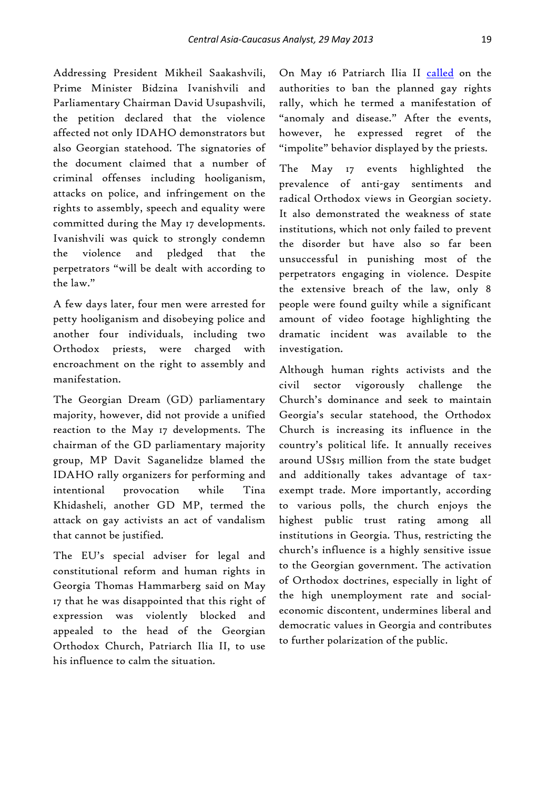Addressing President Mikheil Saakashvili, Prime Minister Bidzina Ivanishvili and Parliamentary Chairman David Usupashvili, the petition declared that the violence affected not only IDAHO demonstrators but also Georgian statehood. The signatories of the document claimed that a number of criminal offenses including hooliganism, attacks on police, and infringement on the rights to assembly, speech and equality were committed during the May 17 developments. Ivanishvili was quick to strongly condemn the violence and pledged that the perpetrators "will be dealt with according to the law."

A few days later, four men were arrested for petty hooliganism and disobeying police and another four individuals, including two Orthodox priests, were charged with encroachment on the right to assembly and manifestation.

The Georgian Dream (GD) parliamentary majority, however, did not provide a unified reaction to the May 17 developments. The chairman of the GD parliamentary majority group, MP Davit Saganelidze blamed the IDAHO rally organizers for performing and intentional provocation while Tina Khidasheli, another GD MP, termed the attack on gay activists an act of vandalism that cannot be justified.

The EU's special adviser for legal and constitutional reform and human rights in Georgia Thomas Hammarberg said on May 17 that he was disappointed that this right of expression was violently blocked and appealed to the head of the Georgian Orthodox Church, Patriarch Ilia II, to use his influence to calm the situation.

On May 16 Patriarch Ilia II [called](http://www.civil.ge/eng/article.php?id=26062) on the authorities to ban the planned gay rights rally, which he termed a manifestation of "anomaly and disease." After the events, however, he expressed regret of the "impolite" behavior displayed by the priests.

The May 17 events highlighted the prevalence of anti-gay sentiments and radical Orthodox views in Georgian society. It also demonstrated the weakness of state institutions, which not only failed to prevent the disorder but have also so far been unsuccessful in punishing most of the perpetrators engaging in violence. Despite the extensive breach of the law, only 8 people were found guilty while a significant amount of video footage highlighting the dramatic incident was available to the investigation.

Although human rights activists and the civil sector vigorously challenge the Church's dominance and seek to maintain Georgia's secular statehood, the Orthodox Church is increasing its influence in the country's political life. It annually receives around US\$15 million from the state budget and additionally takes advantage of taxexempt trade. More importantly, according to various polls, the church enjoys the highest public trust rating among all institutions in Georgia. Thus, restricting the church's influence is a highly sensitive issue to the Georgian government. The activation of Orthodox doctrines, especially in light of the high unemployment rate and socialeconomic discontent, undermines liberal and democratic values in Georgia and contributes to further polarization of the public.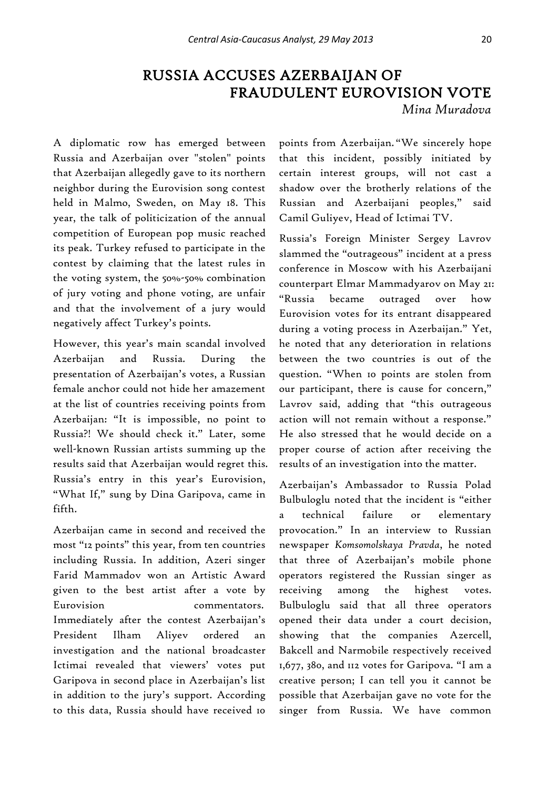#### RUSSIA ACCUSES AZERBAIJAN OF FRAUDULENT EUROVISION VOTE

*Mina Muradova* 

A diplomatic row has emerged between Russia and Azerbaijan over "stolen" points that Azerbaijan allegedly gave to its northern neighbor during the Eurovision song contest held in Malmo, Sweden, on May 18. This year, the talk of politicization of the annual competition of European pop music reached its peak. Turkey refused to participate in the contest by claiming that the latest rules in the voting system, the 50%-50% combination of jury voting and phone voting, are unfair and that the involvement of a jury would negatively affect Turkey's points.

However, this year's main scandal involved Azerbaijan and Russia. During the presentation of Azerbaijan's votes, a Russian female anchor could not hide her amazement at the list of countries receiving points from Azerbaijan: "It is impossible, no point to Russia?! We should check it." Later, some well-known Russian artists summing up the results said that Azerbaijan would regret this. Russia's entry in this year's Eurovision, "What If," sung by Dina Garipova, came in fifth.

Azerbaijan came in second and received the most "12 points" this year, from ten countries including Russia. In addition, Azeri singer Farid Mammadov won an Artistic Award given to the best artist after a vote by Eurovision commentators. Immediately after the contest Azerbaijan's President Ilham Aliyev ordered an investigation and the national broadcaster Ictimai revealed that viewers' votes put Garipova in second place in Azerbaijan's list in addition to the jury's support. According to this data, Russia should have received 10 points from Azerbaijan. "We sincerely hope that this incident, possibly initiated by certain interest groups, will not cast a shadow over the brotherly relations of the Russian and Azerbaijani peoples," said Camil Guliyev, Head of Ictimai TV.

Russia's Foreign Minister Sergey Lavrov slammed the "outrageous" incident at a press conference in Moscow with his Azerbaijani counterpart Elmar Mammadyarov on May 21: "Russia became outraged over how Eurovision votes for its entrant disappeared during a voting process in Azerbaijan." Yet, he noted that any deterioration in relations between the two countries is out of the question. "When 10 points are stolen from our participant, there is cause for concern," Lavrov said, adding that "this outrageous action will not remain without a response." He also stressed that he would decide on a proper course of action after receiving the results of an investigation into the matter.

Azerbaijan's Ambassador to Russia Polad Bulbuloglu noted that the incident is "either a technical failure or elementary provocation." In an interview to Russian newspaper *Komsomolskaya Pravda*, he noted that three of Azerbaijan's mobile phone operators registered the Russian singer as receiving among the highest votes. Bulbuloglu said that all three operators opened their data under a court decision, showing that the companies Azercell, Bakcell and Narmobile respectively received 1,677, 380, and 112 votes for Garipova. "I am a creative person; I can tell you it cannot be possible that Azerbaijan gave no vote for the singer from Russia. We have common